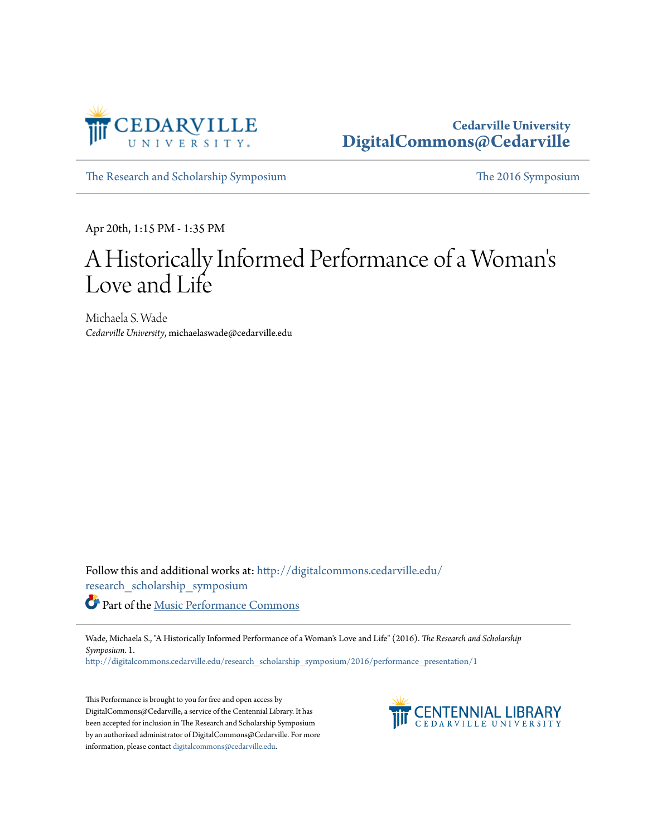

# **Cedarville University [DigitalCommons@Cedarville](http://digitalcommons.cedarville.edu?utm_source=digitalcommons.cedarville.edu%2Fresearch_scholarship_symposium%2F2016%2Fperformance_presentation%2F1&utm_medium=PDF&utm_campaign=PDFCoverPages)**

[The Research and Scholarship Symposium](http://digitalcommons.cedarville.edu/research_scholarship_symposium?utm_source=digitalcommons.cedarville.edu%2Fresearch_scholarship_symposium%2F2016%2Fperformance_presentation%2F1&utm_medium=PDF&utm_campaign=PDFCoverPages) [The 2016 Symposium](http://digitalcommons.cedarville.edu/research_scholarship_symposium/2016?utm_source=digitalcommons.cedarville.edu%2Fresearch_scholarship_symposium%2F2016%2Fperformance_presentation%2F1&utm_medium=PDF&utm_campaign=PDFCoverPages)

Apr 20th, 1:15 PM - 1:35 PM

# A Historically Informed Performance of a Woman ' s Love and Life

Michaela S. Wade *Cedarville University*, michaelaswade@cedarville.edu

Follow this and additional works at: [http://digitalcommons.cedarville.edu/](http://digitalcommons.cedarville.edu/research_scholarship_symposium?utm_source=digitalcommons.cedarville.edu%2Fresearch_scholarship_symposium%2F2016%2Fperformance_presentation%2F1&utm_medium=PDF&utm_campaign=PDFCoverPages) [research\\_scholarship\\_symposium](http://digitalcommons.cedarville.edu/research_scholarship_symposium?utm_source=digitalcommons.cedarville.edu%2Fresearch_scholarship_symposium%2F2016%2Fperformance_presentation%2F1&utm_medium=PDF&utm_campaign=PDFCoverPages) Part of the [Music Performance Commons](http://network.bepress.com/hgg/discipline/1128?utm_source=digitalcommons.cedarville.edu%2Fresearch_scholarship_symposium%2F2016%2Fperformance_presentation%2F1&utm_medium=PDF&utm_campaign=PDFCoverPages)

Wade, Michaela S., "A Historically Informed Performance of a Woman's Love and Life" (2016). *The Research and Scholarship Symposium*. 1.

[http://digitalcommons.cedarville.edu/research\\_scholarship\\_symposium/2016/performance\\_presentation/1](http://digitalcommons.cedarville.edu/research_scholarship_symposium/2016/performance_presentation/1?utm_source=digitalcommons.cedarville.edu%2Fresearch_scholarship_symposium%2F2016%2Fperformance_presentation%2F1&utm_medium=PDF&utm_campaign=PDFCoverPages)

This Performance is brought to you for free and open access by DigitalCommons@Cedarville, a service of the Centennial Library. It has been accepted for inclusion in The Research and Scholarship Symposium by an authorized administrator of DigitalCommons@Cedarville. For more information, please contact [digitalcommons@cedarville.edu.](mailto:digitalcommons@cedarville.edu)

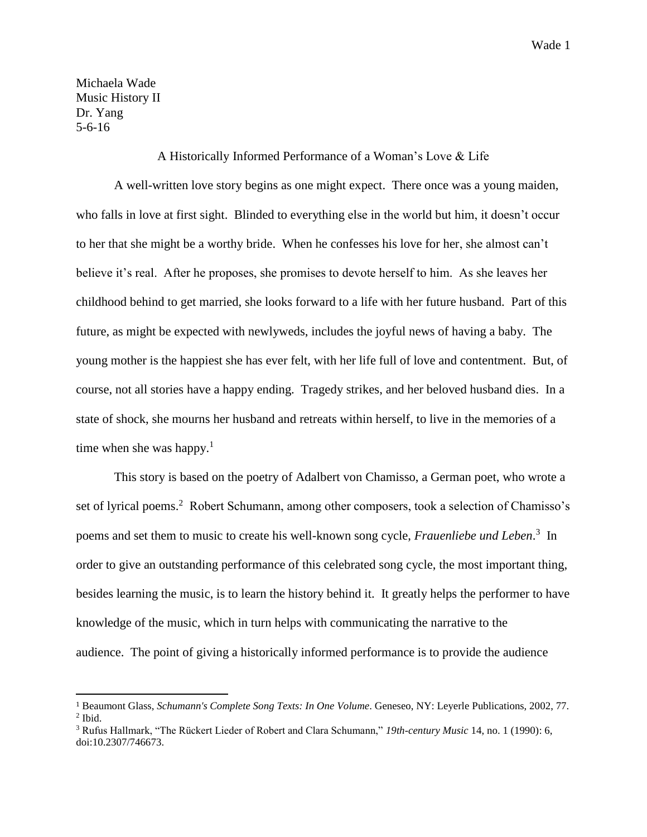Michaela Wade Music History II Dr. Yang 5-6-16

 $\overline{a}$ 

#### A Historically Informed Performance of a Woman's Love & Life

A well-written love story begins as one might expect. There once was a young maiden, who falls in love at first sight. Blinded to everything else in the world but him, it doesn't occur to her that she might be a worthy bride. When he confesses his love for her, she almost can't believe it's real. After he proposes, she promises to devote herself to him. As she leaves her childhood behind to get married, she looks forward to a life with her future husband. Part of this future, as might be expected with newlyweds, includes the joyful news of having a baby. The young mother is the happiest she has ever felt, with her life full of love and contentment. But, of course, not all stories have a happy ending. Tragedy strikes, and her beloved husband dies. In a state of shock, she mourns her husband and retreats within herself, to live in the memories of a time when she was happy.<sup>1</sup>

This story is based on the poetry of Adalbert von Chamisso, a German poet, who wrote a set of lyrical poems.<sup>2</sup> Robert Schumann, among other composers, took a selection of Chamisso's poems and set them to music to create his well-known song cycle, *Frauenliebe und Leben*. 3 In order to give an outstanding performance of this celebrated song cycle, the most important thing, besides learning the music, is to learn the history behind it. It greatly helps the performer to have knowledge of the music, which in turn helps with communicating the narrative to the audience. The point of giving a historically informed performance is to provide the audience

<sup>1</sup> Beaumont Glass, *Schumann's Complete Song Texts: In One Volume*. Geneseo, NY: Leyerle Publications, 2002, 77.  $<sup>2</sup>$  Ibid.</sup>

<sup>3</sup> Rufus Hallmark, "The Rückert Lieder of Robert and Clara Schumann," *19th-century Music* 14, no. 1 (1990): 6, doi:10.2307/746673.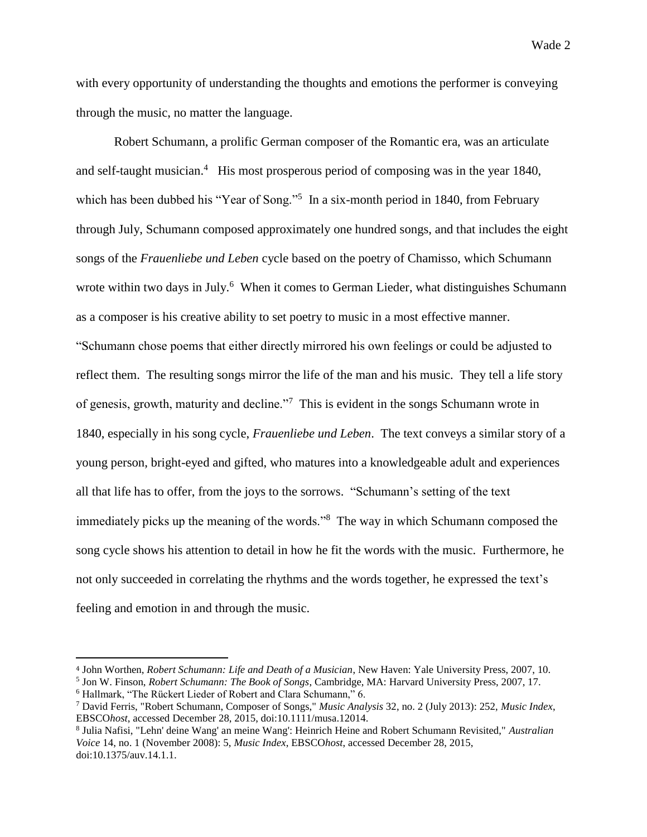with every opportunity of understanding the thoughts and emotions the performer is conveying through the music, no matter the language.

Robert Schumann, a prolific German composer of the Romantic era, was an articulate and self-taught musician.<sup>4</sup> His most prosperous period of composing was in the year 1840, which has been dubbed his "Year of Song."<sup>5</sup> In a six-month period in 1840, from February through July, Schumann composed approximately one hundred songs, and that includes the eight songs of the *Frauenliebe und Leben* cycle based on the poetry of Chamisso, which Schumann wrote within two days in July.<sup>6</sup> When it comes to German Lieder, what distinguishes Schumann as a composer is his creative ability to set poetry to music in a most effective manner. "Schumann chose poems that either directly mirrored his own feelings or could be adjusted to reflect them. The resulting songs mirror the life of the man and his music. They tell a life story of genesis, growth, maturity and decline."<sup>7</sup> This is evident in the songs Schumann wrote in 1840, especially in his song cycle, *Frauenliebe und Leben*. The text conveys a similar story of a young person, bright-eyed and gifted, who matures into a knowledgeable adult and experiences all that life has to offer, from the joys to the sorrows. "Schumann's setting of the text immediately picks up the meaning of the words."<sup>8</sup> The way in which Schumann composed the song cycle shows his attention to detail in how he fit the words with the music. Furthermore, he not only succeeded in correlating the rhythms and the words together, he expressed the text's feeling and emotion in and through the music.

<sup>4</sup> John Worthen, *Robert Schumann: Life and Death of a Musician*, New Haven: Yale University Press, 2007, 10.

<sup>5</sup> Jon W. Finson, *Robert Schumann: The Book of Songs*, Cambridge, MA: Harvard University Press, 2007, 17. <sup>6</sup> Hallmark, "The Rückert Lieder of Robert and Clara Schumann," 6.

<sup>7</sup> David Ferris, "Robert Schumann, Composer of Songs," *Music Analysis* 32, no. 2 (July 2013): 252, *Music Index*, EBSCO*host*, accessed December 28, 2015, doi:10.1111/musa.12014.

<sup>8</sup> Julia Nafisi, "Lehn' deine Wang' an meine Wang': Heinrich Heine and Robert Schumann Revisited," *Australian Voice* 14, no. 1 (November 2008): 5, *Music Index*, EBSCO*host*, accessed December 28, 2015, doi:10.1375/auv.14.1.1.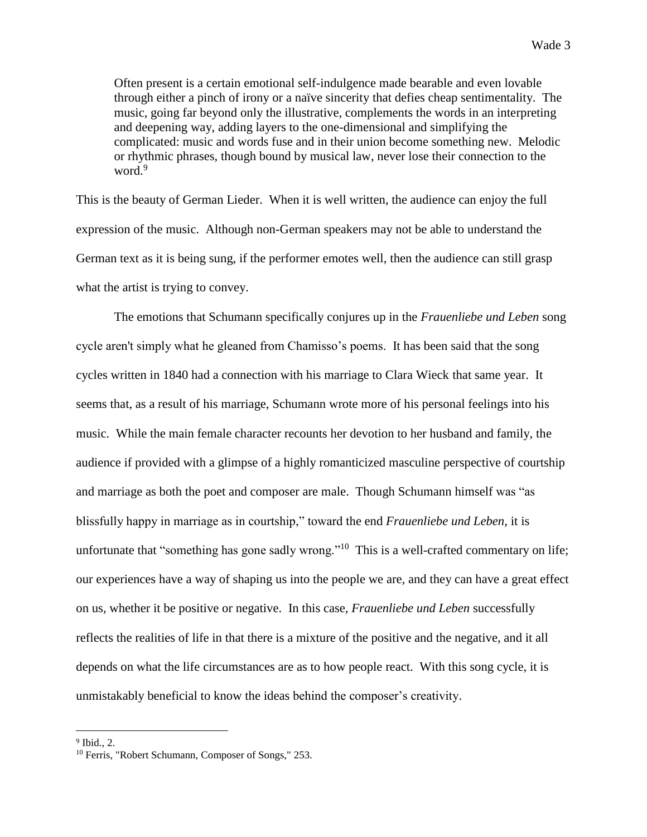Often present is a certain emotional self-indulgence made bearable and even lovable through either a pinch of irony or a naïve sincerity that defies cheap sentimentality. The music, going far beyond only the illustrative, complements the words in an interpreting and deepening way, adding layers to the one-dimensional and simplifying the complicated: music and words fuse and in their union become something new. Melodic or rhythmic phrases, though bound by musical law, never lose their connection to the word.<sup>9</sup>

This is the beauty of German Lieder. When it is well written, the audience can enjoy the full expression of the music. Although non-German speakers may not be able to understand the German text as it is being sung, if the performer emotes well, then the audience can still grasp what the artist is trying to convey.

The emotions that Schumann specifically conjures up in the *Frauenliebe und Leben* song cycle aren't simply what he gleaned from Chamisso's poems. It has been said that the song cycles written in 1840 had a connection with his marriage to Clara Wieck that same year. It seems that, as a result of his marriage, Schumann wrote more of his personal feelings into his music. While the main female character recounts her devotion to her husband and family, the audience if provided with a glimpse of a highly romanticized masculine perspective of courtship and marriage as both the poet and composer are male. Though Schumann himself was "as blissfully happy in marriage as in courtship," toward the end *Frauenliebe und Leben,* it is unfortunate that "something has gone sadly wrong."<sup>10</sup> This is a well-crafted commentary on life; our experiences have a way of shaping us into the people we are, and they can have a great effect on us, whether it be positive or negative. In this case, *Frauenliebe und Leben* successfully reflects the realities of life in that there is a mixture of the positive and the negative, and it all depends on what the life circumstances are as to how people react. With this song cycle, it is unmistakably beneficial to know the ideas behind the composer's creativity.

<sup>9</sup> Ibid., 2.

<sup>&</sup>lt;sup>10</sup> Ferris, "Robert Schumann, Composer of Songs," 253.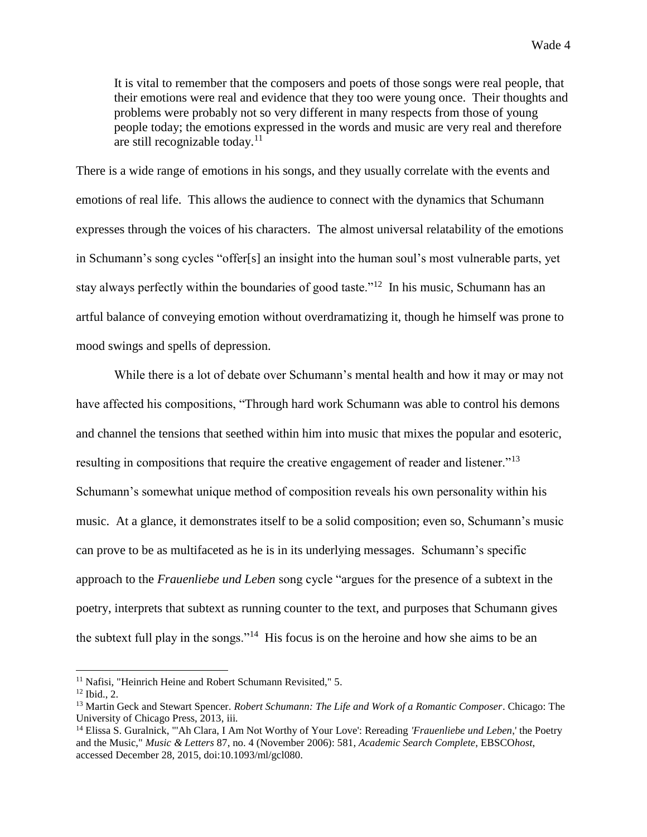It is vital to remember that the composers and poets of those songs were real people, that their emotions were real and evidence that they too were young once. Their thoughts and problems were probably not so very different in many respects from those of young people today; the emotions expressed in the words and music are very real and therefore are still recognizable today. $11$ 

There is a wide range of emotions in his songs, and they usually correlate with the events and emotions of real life. This allows the audience to connect with the dynamics that Schumann expresses through the voices of his characters. The almost universal relatability of the emotions in Schumann's song cycles "offer[s] an insight into the human soul's most vulnerable parts, yet stay always perfectly within the boundaries of good taste."<sup>12</sup> In his music, Schumann has an artful balance of conveying emotion without overdramatizing it, though he himself was prone to mood swings and spells of depression.

While there is a lot of debate over Schumann's mental health and how it may or may not have affected his compositions, "Through hard work Schumann was able to control his demons and channel the tensions that seethed within him into music that mixes the popular and esoteric, resulting in compositions that require the creative engagement of reader and listener."<sup>13</sup> Schumann's somewhat unique method of composition reveals his own personality within his music. At a glance, it demonstrates itself to be a solid composition; even so, Schumann's music can prove to be as multifaceted as he is in its underlying messages. Schumann's specific approach to the *Frauenliebe und Leben* song cycle "argues for the presence of a subtext in the poetry, interprets that subtext as running counter to the text, and purposes that Schumann gives the subtext full play in the songs."<sup>14</sup> His focus is on the heroine and how she aims to be an

<sup>&</sup>lt;sup>11</sup> Nafisi, "Heinrich Heine and Robert Schumann Revisited," 5.

<sup>12</sup> Ibid., 2.

<sup>13</sup> Martin Geck and Stewart Spencer. *Robert Schumann: The Life and Work of a Romantic Composer*. Chicago: The University of Chicago Press, 2013, iii*.*

<sup>14</sup> Elissa S. Guralnick, "'Ah Clara, I Am Not Worthy of Your Love': Rereading *'Frauenliebe und Leben*,' the Poetry and the Music," *Music & Letters* 87, no. 4 (November 2006): 581, *Academic Search Complete*, EBSCO*host*, accessed December 28, 2015, doi:10.1093/ml/gcl080.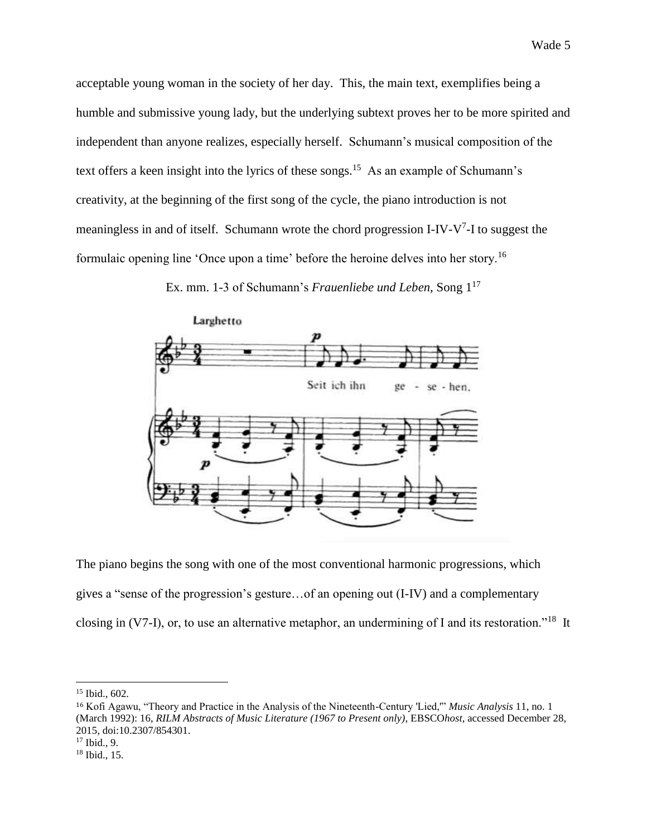acceptable young woman in the society of her day. This, the main text, exemplifies being a humble and submissive young lady, but the underlying subtext proves her to be more spirited and independent than anyone realizes, especially herself. Schumann's musical composition of the text offers a keen insight into the lyrics of these songs.<sup>15</sup> As an example of Schumann's creativity, at the beginning of the first song of the cycle, the piano introduction is not meaningless in and of itself. Schumann wrote the chord progression I-IV- $V^7$ -I to suggest the formulaic opening line 'Once upon a time' before the heroine delves into her story.<sup>16</sup>

Ex. mm. 1-3 of Schumann's *Frauenliebe und Leben,* Song 1<sup>17</sup>



The piano begins the song with one of the most conventional harmonic progressions, which gives a "sense of the progression's gesture…of an opening out (I-IV) and a complementary closing in (V7-I), or, to use an alternative metaphor, an undermining of I and its restoration."<sup>18</sup> It

<sup>&</sup>lt;sup>15</sup> Ibid., 602.

<sup>16</sup> Kofi Agawu, "Theory and Practice in the Analysis of the Nineteenth-Century 'Lied,'" *Music Analysis* 11, no. 1 (March 1992): 16, *RILM Abstracts of Music Literature (1967 to Present only)*, EBSCO*host*, accessed December 28, 2015, doi:10.2307/854301.  $17$  Ibid., 9.

<sup>18</sup> Ibid., 15.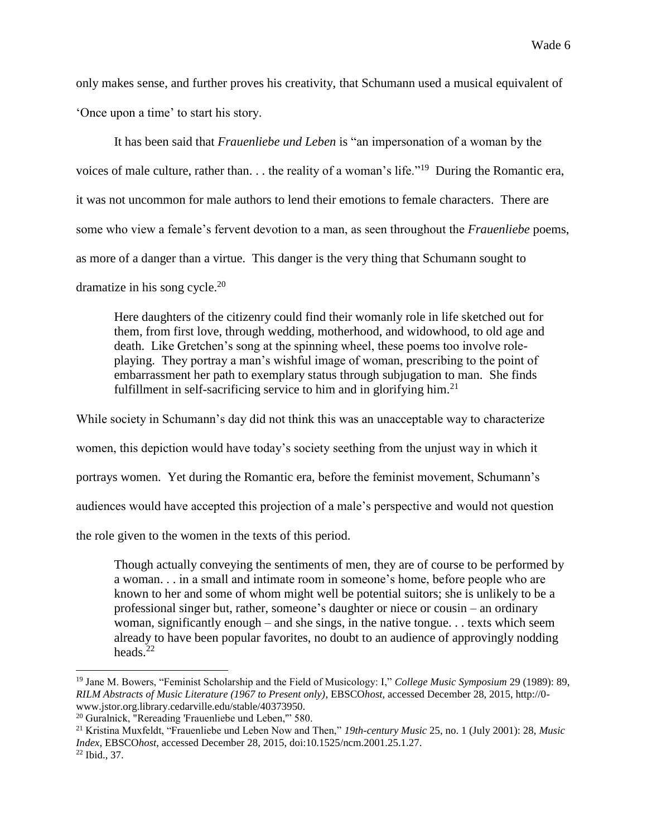only makes sense, and further proves his creativity, that Schumann used a musical equivalent of 'Once upon a time' to start his story.

It has been said that *Frauenliebe und Leben* is "an impersonation of a woman by the voices of male culture, rather than. . . the reality of a woman's life."<sup>19</sup> During the Romantic era, it was not uncommon for male authors to lend their emotions to female characters. There are some who view a female's fervent devotion to a man, as seen throughout the *Frauenliebe* poems, as more of a danger than a virtue. This danger is the very thing that Schumann sought to dramatize in his song cycle.<sup>20</sup>

Here daughters of the citizenry could find their womanly role in life sketched out for them, from first love, through wedding, motherhood, and widowhood, to old age and death. Like Gretchen's song at the spinning wheel, these poems too involve roleplaying. They portray a man's wishful image of woman, prescribing to the point of embarrassment her path to exemplary status through subjugation to man. She finds fulfillment in self-sacrificing service to him and in glorifying him.<sup>21</sup>

While society in Schumann's day did not think this was an unacceptable way to characterize women, this depiction would have today's society seething from the unjust way in which it portrays women. Yet during the Romantic era, before the feminist movement, Schumann's audiences would have accepted this projection of a male's perspective and would not question the role given to the women in the texts of this period.

Though actually conveying the sentiments of men, they are of course to be performed by a woman. . . in a small and intimate room in someone's home, before people who are known to her and some of whom might well be potential suitors; she is unlikely to be a professional singer but, rather, someone's daughter or niece or cousin – an ordinary woman, significantly enough – and she sings, in the native tongue. . . texts which seem already to have been popular favorites, no doubt to an audience of approvingly nodding heads. $^{22}$ 

<sup>19</sup> Jane M. Bowers, "Feminist Scholarship and the Field of Musicology: I," *College Music Symposium* 29 (1989): 89, *RILM Abstracts of Music Literature (1967 to Present only)*, EBSCO*host*, accessed December 28, 2015, http://0 www.jstor.org.library.cedarville.edu/stable/40373950.

<sup>20</sup> Guralnick, "Rereading 'Frauenliebe und Leben,'" 580.

<sup>21</sup> Kristina Muxfeldt, "Frauenliebe und Leben Now and Then," *19th-century Music* 25, no. 1 (July 2001): 28, *Music Index*, EBSCO*host*, accessed December 28, 2015, doi:10.1525/ncm.2001.25.1.27.

 $22$  Ibid., 37.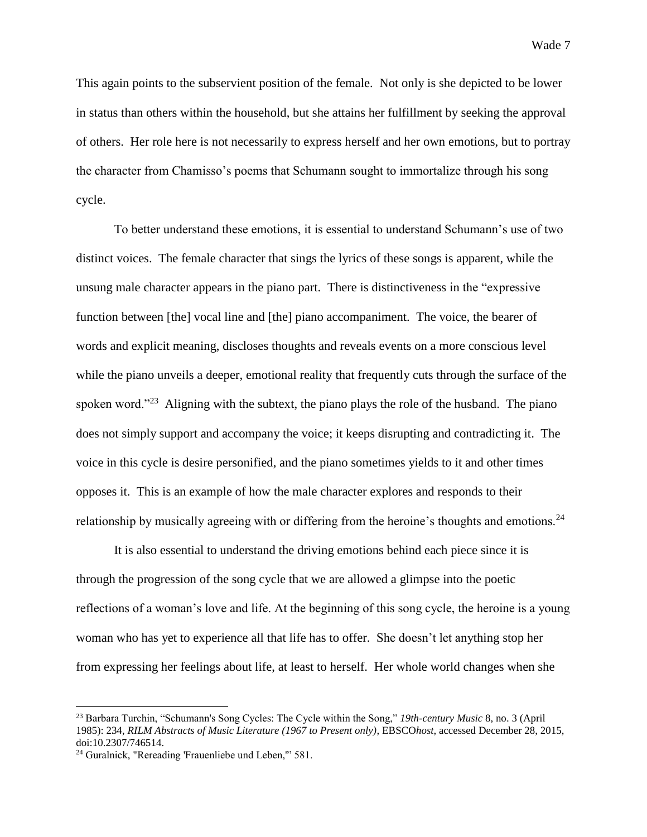This again points to the subservient position of the female. Not only is she depicted to be lower in status than others within the household, but she attains her fulfillment by seeking the approval of others. Her role here is not necessarily to express herself and her own emotions, but to portray the character from Chamisso's poems that Schumann sought to immortalize through his song cycle.

To better understand these emotions, it is essential to understand Schumann's use of two distinct voices. The female character that sings the lyrics of these songs is apparent, while the unsung male character appears in the piano part. There is distinctiveness in the "expressive function between [the] vocal line and [the] piano accompaniment. The voice, the bearer of words and explicit meaning, discloses thoughts and reveals events on a more conscious level while the piano unveils a deeper, emotional reality that frequently cuts through the surface of the spoken word."<sup>23</sup> Aligning with the subtext, the piano plays the role of the husband. The piano does not simply support and accompany the voice; it keeps disrupting and contradicting it. The voice in this cycle is desire personified, and the piano sometimes yields to it and other times opposes it. This is an example of how the male character explores and responds to their relationship by musically agreeing with or differing from the heroine's thoughts and emotions.<sup>24</sup>

It is also essential to understand the driving emotions behind each piece since it is through the progression of the song cycle that we are allowed a glimpse into the poetic reflections of a woman's love and life. At the beginning of this song cycle, the heroine is a young woman who has yet to experience all that life has to offer. She doesn't let anything stop her from expressing her feelings about life, at least to herself. Her whole world changes when she

<sup>23</sup> Barbara Turchin, "Schumann's Song Cycles: The Cycle within the Song," *19th-century Music* 8, no. 3 (April 1985): 234, *RILM Abstracts of Music Literature (1967 to Present only)*, EBSCO*host*, accessed December 28, 2015, doi:10.2307/746514.

<sup>24</sup> Guralnick, "Rereading 'Frauenliebe und Leben,'" 581.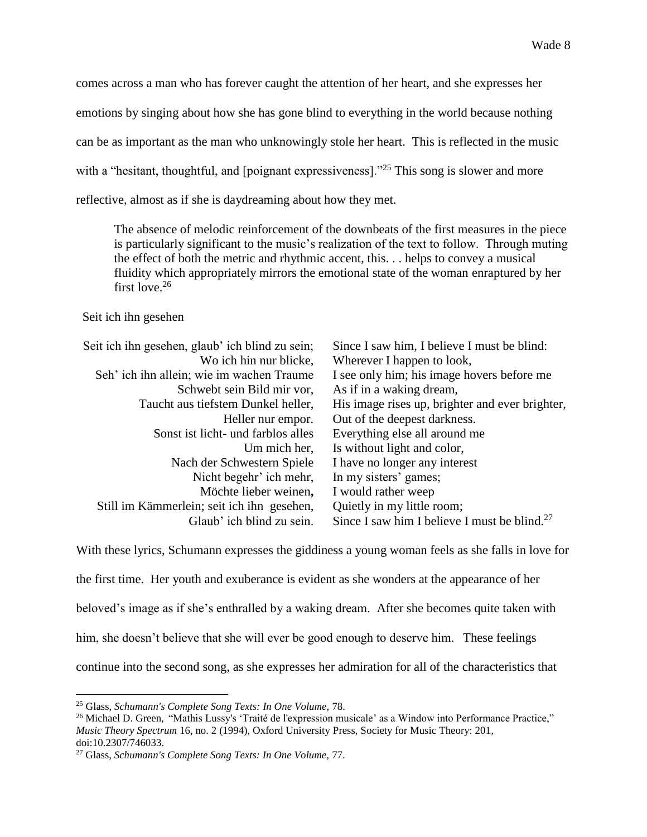comes across a man who has forever caught the attention of her heart, and she expresses her emotions by singing about how she has gone blind to everything in the world because nothing can be as important as the man who unknowingly stole her heart. This is reflected in the music with a "hesitant, thoughtful, and [poignant expressiveness]."<sup>25</sup> This song is slower and more reflective, almost as if she is daydreaming about how they met.

The absence of melodic reinforcement of the downbeats of the first measures in the piece is particularly significant to the music's realization of the text to follow. Through muting the effect of both the metric and rhythmic accent, this. . . helps to convey a musical fluidity which appropriately mirrors the emotional state of the woman enraptured by her first love.<sup>26</sup>

#### Seit ich ihn gesehen

 $\overline{a}$ 

| Seit ich ihn gesehen, glaub' ich blind zu sein; | Since I saw him, I believe I must be blind:              |
|-------------------------------------------------|----------------------------------------------------------|
| Wo ich hin nur blicke,                          | Wherever I happen to look,                               |
| Seh' ich ihn allein; wie im wachen Traume       | I see only him; his image hovers before me               |
| Schwebt sein Bild mir vor,                      | As if in a waking dream,                                 |
| Taucht aus tiefstem Dunkel heller,              | His image rises up, brighter and ever brighter,          |
| Heller nur empor.                               | Out of the deepest darkness.                             |
| Sonst ist licht- und farblos alles              | Everything else all around me                            |
| Um mich her,                                    | Is without light and color,                              |
| Nach der Schwestern Spiele                      | I have no longer any interest                            |
| Nicht begehr' ich mehr,                         | In my sisters' games;                                    |
| Möchte lieber weinen,                           | I would rather weep                                      |
| Still im Kämmerlein; seit ich ihn gesehen,      | Quietly in my little room;                               |
| Glaub' ich blind zu sein.                       | Since I saw him I believe I must be blind. <sup>27</sup> |
|                                                 |                                                          |

With these lyrics, Schumann expresses the giddiness a young woman feels as she falls in love for

the first time. Her youth and exuberance is evident as she wonders at the appearance of her

beloved's image as if she's enthralled by a waking dream. After she becomes quite taken with

him, she doesn't believe that she will ever be good enough to deserve him. These feelings

continue into the second song, as she expresses her admiration for all of the characteristics that

<sup>25</sup> Glass, *Schumann's Complete Song Texts: In One Volume,* 78.

<sup>26</sup> Michael D. Green, "Mathis Lussy's 'Traité de l'expression musicale' as a Window into Performance Practice," *Music Theory Spectrum* 16, no. 2 (1994), Oxford University Press, Society for Music Theory: 201, doi:10.2307/746033.

<sup>27</sup> Glass, *Schumann's Complete Song Texts: In One Volume,* 77.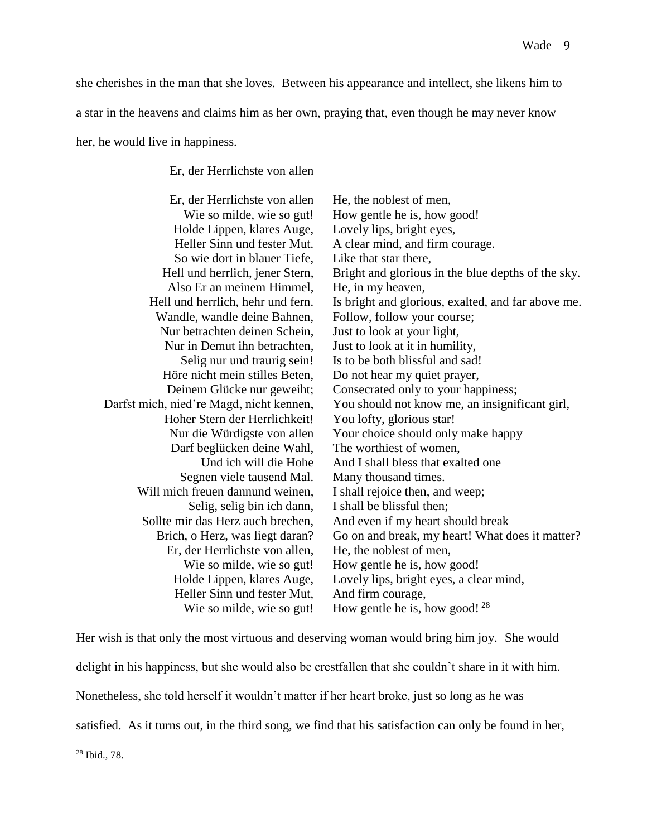she cherishes in the man that she loves. Between his appearance and intellect, she likens him to

a star in the heavens and claims him as her own, praying that, even though he may never know

her, he would live in happiness.

Er, der Herrlichste von allen

| Er, der Herrlichste von allen            | He, the noblest of men,                            |
|------------------------------------------|----------------------------------------------------|
| Wie so milde, wie so gut!                | How gentle he is, how good!                        |
| Holde Lippen, klares Auge,               | Lovely lips, bright eyes,                          |
| Heller Sinn und fester Mut.              | A clear mind, and firm courage.                    |
| So wie dort in blauer Tiefe,             | Like that star there,                              |
| Hell und herrlich, jener Stern,          | Bright and glorious in the blue depths of the sky. |
| Also Er an meinem Himmel,                | He, in my heaven,                                  |
| Hell und herrlich, hehr und fern.        | Is bright and glorious, exalted, and far above me. |
| Wandle, wandle deine Bahnen,             | Follow, follow your course;                        |
| Nur betrachten deinen Schein,            | Just to look at your light,                        |
| Nur in Demut ihn betrachten,             | Just to look at it in humility,                    |
| Selig nur und traurig sein!              | Is to be both blissful and sad!                    |
| Höre nicht mein stilles Beten,           | Do not hear my quiet prayer,                       |
| Deinem Glücke nur geweiht;               | Consecrated only to your happiness;                |
| Darfst mich, nied're Magd, nicht kennen, | You should not know me, an insignificant girl,     |
| Hoher Stern der Herrlichkeit!            | You lofty, glorious star!                          |
| Nur die Würdigste von allen              | Your choice should only make happy                 |
| Darf beglücken deine Wahl,               | The worthiest of women,                            |
| Und ich will die Hohe                    | And I shall bless that exalted one                 |
| Segnen viele tausend Mal.                | Many thousand times.                               |
| Will mich freuen dannund weinen,         | I shall rejoice then, and weep;                    |
| Selig, selig bin ich dann,               | I shall be blissful then;                          |
| Sollte mir das Herz auch brechen,        | And even if my heart should break—                 |
| Brich, o Herz, was liegt daran?          | Go on and break, my heart! What does it matter?    |
| Er, der Herrlichste von allen,           | He, the noblest of men,                            |
| Wie so milde, wie so gut!                | How gentle he is, how good!                        |
| Holde Lippen, klares Auge,               | Lovely lips, bright eyes, a clear mind,            |
| Heller Sinn und fester Mut,              | And firm courage,                                  |
| Wie so milde, wie so gut!                | How gentle he is, how good! $28$                   |
|                                          |                                                    |

Her wish is that only the most virtuous and deserving woman would bring him joy. She would delight in his happiness, but she would also be crestfallen that she couldn't share in it with him. Nonetheless, she told herself it wouldn't matter if her heart broke, just so long as he was satisfied. As it turns out, in the third song, we find that his satisfaction can only be found in her,

<sup>28</sup> Ibid.*,* 78.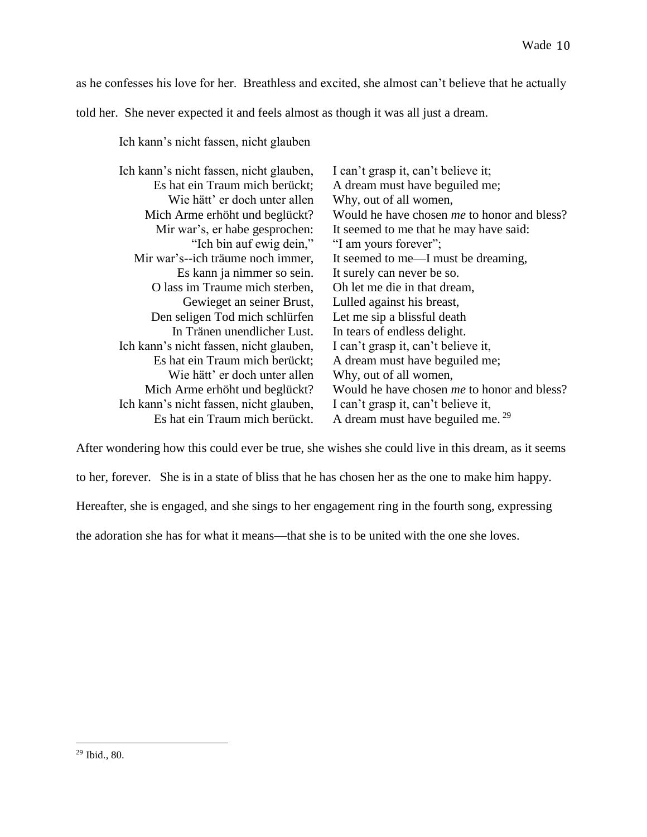as he confesses his love for her. Breathless and excited, she almost can't believe that he actually told her. She never expected it and feels almost as though it was all just a dream.

Ich kann's nicht fassen, nicht glauben,

| Ich kann's nicht fassen, nicht glauben,<br>Es hat ein Traum mich berückt; | I can't grasp it, can't believe it;<br>A dream must have beguiled me; |
|---------------------------------------------------------------------------|-----------------------------------------------------------------------|
| Wie hätt' er doch unter allen                                             | Why, out of all women,                                                |
| Mich Arme erhöht und beglückt?                                            | Would he have chosen <i>me</i> to honor and bless?                    |
| Mir war's, er habe gesprochen:                                            | It seemed to me that he may have said:                                |
| "Ich bin auf ewig dein,"                                                  | "I am yours forever";                                                 |
| Mir war's--ich träume noch immer,                                         | It seemed to me—I must be dreaming,                                   |
| Es kann ja nimmer so sein.                                                | It surely can never be so.                                            |
| O lass im Traume mich sterben,                                            | Oh let me die in that dream,                                          |
| Gewieget an seiner Brust,                                                 | Lulled against his breast,                                            |
| Den seligen Tod mich schlürfen                                            | Let me sip a blissful death                                           |
| In Tränen unendlicher Lust.                                               | In tears of endless delight.                                          |
| Ich kann's nicht fassen, nicht glauben,                                   | I can't grasp it, can't believe it,                                   |
| Es hat ein Traum mich berückt;                                            | A dream must have beguiled me;                                        |
| Wie hätt' er doch unter allen                                             | Why, out of all women,                                                |
| Mich Arme erhöht und beglückt?                                            | Would he have chosen <i>me</i> to honor and bless?                    |
| Ich kann's nicht fassen, nicht glauben,                                   | I can't grasp it, can't believe it,                                   |
| Es hat ein Traum mich berückt.                                            | A dream must have beguiled me. $29$                                   |

After wondering how this could ever be true, she wishes she could live in this dream, as it seems to her, forever. She is in a state of bliss that he has chosen her as the one to make him happy. Hereafter, she is engaged, and she sings to her engagement ring in the fourth song, expressing the adoration she has for what it means—that she is to be united with the one she loves.

<sup>29</sup> Ibid.*,* 80.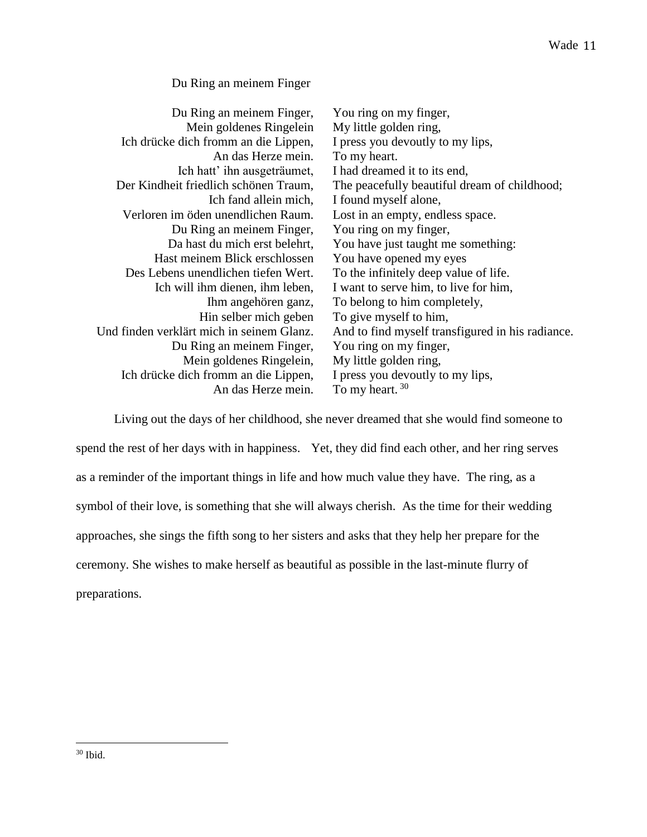## Du Ring an meinem Finger,

| Du Ring an meinem Finger,                 | You ring on my finger,                           |
|-------------------------------------------|--------------------------------------------------|
| Mein goldenes Ringelein                   | My little golden ring,                           |
| Ich drücke dich fromm an die Lippen,      | I press you devoutly to my lips,                 |
| An das Herze mein.                        | To my heart.                                     |
| Ich hatt' ihn ausgeträumet,               | I had dreamed it to its end,                     |
| Der Kindheit friedlich schönen Traum,     | The peacefully beautiful dream of childhood;     |
| Ich fand allein mich,                     | I found myself alone,                            |
| Verloren im öden unendlichen Raum.        | Lost in an empty, endless space.                 |
| Du Ring an meinem Finger,                 | You ring on my finger,                           |
| Da hast du mich erst belehrt,             | You have just taught me something:               |
| Hast meinem Blick erschlossen             | You have opened my eyes                          |
| Des Lebens unendlichen tiefen Wert.       | To the infinitely deep value of life.            |
| Ich will ihm dienen, ihm leben,           | I want to serve him, to live for him,            |
| Ihm angehören ganz,                       | To belong to him completely,                     |
| Hin selber mich geben                     | To give myself to him,                           |
| Und finden verklärt mich in seinem Glanz. | And to find myself transfigured in his radiance. |
| Du Ring an meinem Finger,                 | You ring on my finger,                           |
| Mein goldenes Ringelein,                  | My little golden ring,                           |
| Ich drücke dich fromm an die Lippen,      | I press you devoutly to my lips,                 |
| An das Herze mein.                        | To my heart. $30$                                |

Living out the days of her childhood, she never dreamed that she would find someone to spend the rest of her days with in happiness. Yet, they did find each other, and her ring serves as a reminder of the important things in life and how much value they have. The ring, as a symbol of their love, is something that she will always cherish. As the time for their wedding approaches, she sings the fifth song to her sisters and asks that they help her prepare for the ceremony. She wishes to make herself as beautiful as possible in the last-minute flurry of preparations.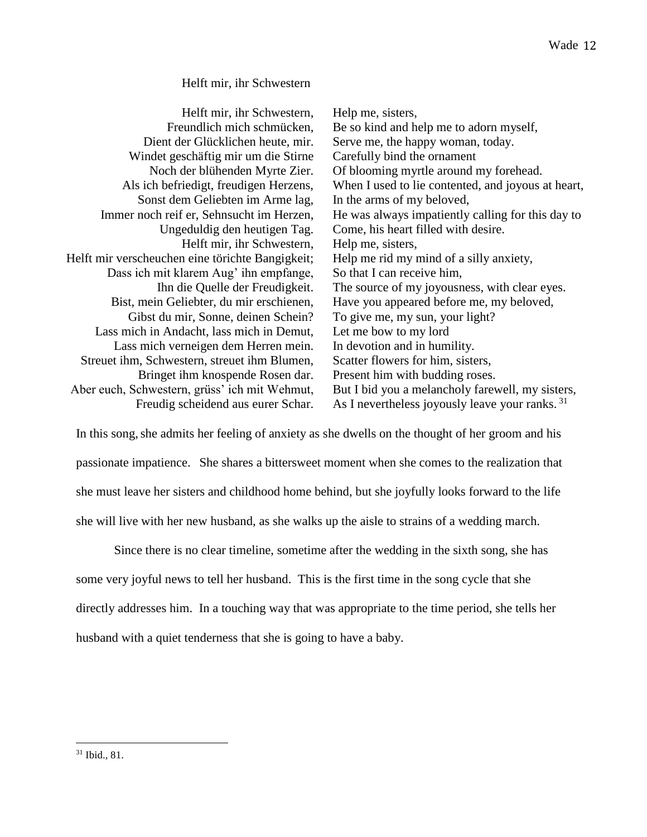## Helft mir, ihr Schwestern,

| Helft mir, ihr Schwestern,                       | Help me, sisters,                                          |
|--------------------------------------------------|------------------------------------------------------------|
| Freundlich mich schmücken,                       | Be so kind and help me to adorn myself,                    |
| Dient der Glücklichen heute, mir.                | Serve me, the happy woman, today.                          |
| Windet geschäftig mir um die Stirne              | Carefully bind the ornament                                |
| Noch der blühenden Myrte Zier.                   | Of blooming myrtle around my forehead.                     |
| Als ich befriedigt, freudigen Herzens,           | When I used to lie contented, and joyous at heart,         |
| Sonst dem Geliebten im Arme lag,                 | In the arms of my beloved,                                 |
| Immer noch reif er, Sehnsucht im Herzen,         | He was always impatiently calling for this day to          |
| Ungeduldig den heutigen Tag.                     | Come, his heart filled with desire.                        |
| Helft mir, ihr Schwestern,                       | Help me, sisters,                                          |
| Helft mir verscheuchen eine törichte Bangigkeit; | Help me rid my mind of a silly anxiety,                    |
| Dass ich mit klarem Aug' ihn empfange,           | So that I can receive him,                                 |
| Ihn die Quelle der Freudigkeit.                  | The source of my joyousness, with clear eyes.              |
| Bist, mein Geliebter, du mir erschienen,         | Have you appeared before me, my beloved,                   |
| Gibst du mir, Sonne, deinen Schein?              | To give me, my sun, your light?                            |
| Lass mich in Andacht, lass mich in Demut,        | Let me bow to my lord                                      |
| Lass mich verneigen dem Herren mein.             | In devotion and in humility.                               |
| Streuet ihm, Schwestern, streuet ihm Blumen,     | Scatter flowers for him, sisters,                          |
| Bringet ihm knospende Rosen dar.                 | Present him with budding roses.                            |
| Aber euch, Schwestern, grüss' ich mit Wehmut,    | But I bid you a melancholy farewell, my sisters,           |
| Freudig scheidend aus eurer Schar.               | As I nevertheless joyously leave your ranks. <sup>31</sup> |

In this song, she admits her feeling of anxiety as she dwells on the thought of her groom and his passionate impatience. She shares a bittersweet moment when she comes to the realization that she must leave her sisters and childhood home behind, but she joyfully looks forward to the life she will live with her new husband, as she walks up the aisle to strains of a wedding march.

Since there is no clear timeline, sometime after the wedding in the sixth song, she has some very joyful news to tell her husband. This is the first time in the song cycle that she directly addresses him. In a touching way that was appropriate to the time period, she tells her husband with a quiet tenderness that she is going to have a baby.

 $\overline{a}$ <sup>31</sup> Ibid.*,* 81.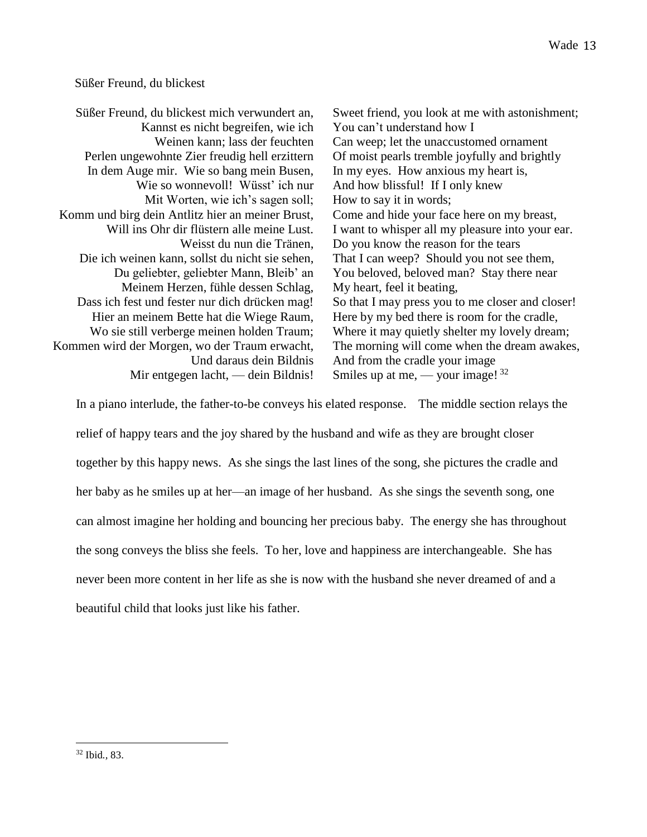### Süßer Freund, du blickest

Süßer Freund, du blickest mich verwundert an, Kannst es nicht begreifen, wie ich Weinen kann; lass der feuchten Perlen ungewohnte Zier freudig hell erzittern In dem Auge mir. Wie so bang mein Busen, Wie so wonnevoll! Wüsst' ich nur Mit Worten, wie ich's sagen soll; Komm und birg dein Antlitz hier an meiner Brust, Will ins Ohr dir flüstern alle meine Lust. Weisst du nun die Tränen, Die ich weinen kann, sollst du nicht sie sehen, Du geliebter, geliebter Mann, Bleib' an Meinem Herzen, fühle dessen Schlag, Dass ich fest und fester nur dich drücken mag! Hier an meinem Bette hat die Wiege Raum, Wo sie still verberge meinen holden Traum; Kommen wird der Morgen, wo der Traum erwacht, Und daraus dein Bildnis Mir entgegen lacht, — dein Bildnis! Sweet friend, you look at me with astonishment; You can't understand how I Can weep; let the unaccustomed ornament Of moist pearls tremble joyfully and brightly In my eyes. How anxious my heart is, And how blissful! If I only knew How to say it in words; Come and hide your face here on my breast, I want to whisper all my pleasure into your ear. Do you know the reason for the tears That I can weep? Should you not see them, You beloved, beloved man? Stay there near My heart, feel it beating, So that I may press you to me closer and closer! Here by my bed there is room for the cradle, Where it may quietly shelter my lovely dream; The morning will come when the dream awakes, And from the cradle your image Smiles up at me,  $-$  your image!  $32$ 

In a piano interlude, the father-to-be conveys his elated response. The middle section relays the relief of happy tears and the joy shared by the husband and wife as they are brought closer together by this happy news. As she sings the last lines of the song, she pictures the cradle and her baby as he smiles up at her—an image of her husband. As she sings the seventh song, one can almost imagine her holding and bouncing her precious baby. The energy she has throughout the song conveys the bliss she feels. To her, love and happiness are interchangeable. She has never been more content in her life as she is now with the husband she never dreamed of and a beautiful child that looks just like his father.

 $\overline{a}$ <sup>32</sup> Ibid*.,* 83.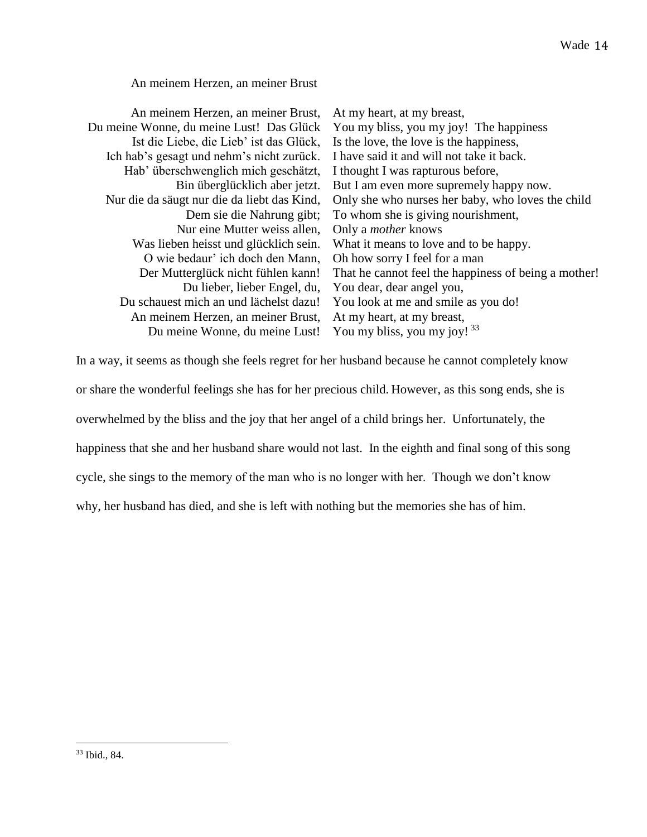# An meinem Herzen, an meiner Brust,

| An meinem Herzen, an meiner Brust,          | At my heart, at my breast,                           |
|---------------------------------------------|------------------------------------------------------|
| Du meine Wonne, du meine Lust! Das Glück    | You my bliss, you my joy! The happiness              |
| Ist die Liebe, die Lieb' ist das Glück,     | Is the love, the love is the happiness,              |
| Ich hab's gesagt und nehm's nicht zurück.   | I have said it and will not take it back.            |
| Hab' überschwenglich mich geschätzt,        | I thought I was rapturous before,                    |
| Bin überglücklich aber jetzt.               | But I am even more supremely happy now.              |
| Nur die da säugt nur die da liebt das Kind, | Only she who nurses her baby, who loves the child    |
| Dem sie die Nahrung gibt;                   | To whom she is giving nourishment,                   |
| Nur eine Mutter weiss allen,                | Only a <i>mother</i> knows                           |
| Was lieben heisst und glücklich sein.       | What it means to love and to be happy.               |
| O wie bedaur' ich doch den Mann,            | Oh how sorry I feel for a man                        |
| Der Mutterglück nicht fühlen kann!          | That he cannot feel the happiness of being a mother! |
| Du lieber, lieber Engel, du,                | You dear, dear angel you,                            |
| Du schauest mich an und lächelst dazu!      | You look at me and smile as you do!                  |
| An meinem Herzen, an meiner Brust,          | At my heart, at my breast,                           |
| Du meine Wonne, du meine Lust!              | You my bliss, you my joy! $33$                       |
|                                             |                                                      |

In a way, it seems as though she feels regret for her husband because he cannot completely know

or share the wonderful feelings she has for her precious child. However, as this song ends, she is

overwhelmed by the bliss and the joy that her angel of a child brings her. Unfortunately, the

happiness that she and her husband share would not last. In the eighth and final song of this song

cycle, she sings to the memory of the man who is no longer with her. Though we don't know

why, her husband has died, and she is left with nothing but the memories she has of him.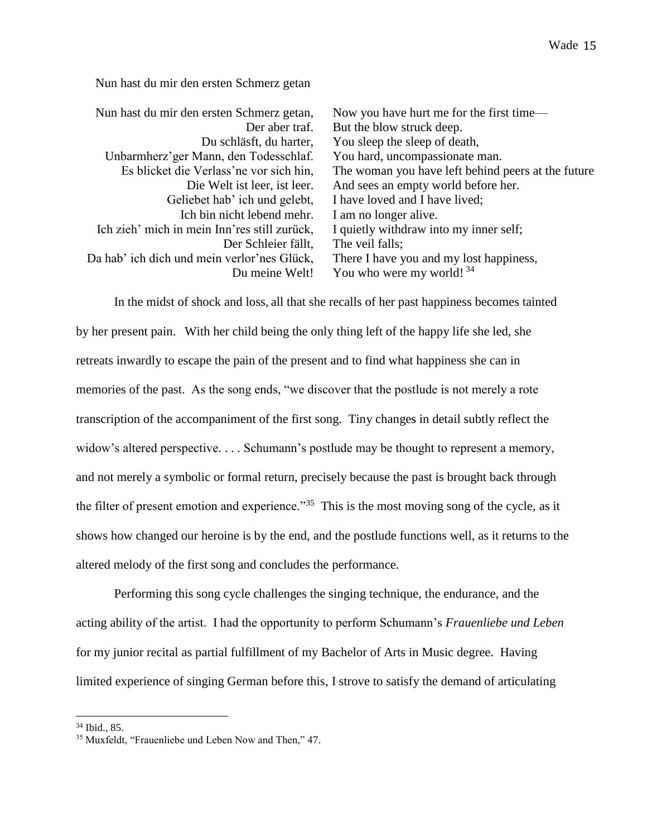Nun hast du mir den ersten Schmerz getan,

| Nun hast du mir den ersten Schmerz getan,    | Now you have hurt me for the first time—           |
|----------------------------------------------|----------------------------------------------------|
| Der aber traf.                               | But the blow struck deep.                          |
| Du schläsft, du harter,                      | You sleep the sleep of death,                      |
| Unbarmherz' ger Mann, den Todesschlaf.       | You hard, uncompassionate man.                     |
| Es blicket die Verlass'ne vor sich hin,      | The woman you have left behind peers at the future |
| Die Welt ist leer, ist leer.                 | And sees an empty world before her.                |
| Geliebet hab' ich und gelebt,                | I have loved and I have lived;                     |
| Ich bin nicht lebend mehr.                   | I am no longer alive.                              |
| Ich zieh' mich in mein Inn'res still zurück, | I quietly withdraw into my inner self;             |
| Der Schleier fällt.                          | The veil falls;                                    |
| Da hab' ich dich und mein verlor'nes Glück,  | There I have you and my lost happiness,            |
| Du meine Welt!                               | You who were my world! $34$                        |

In the midst of shock and loss, all that she recalls of her past happiness becomes tainted by her present pain. With her child being the only thing left of the happy life she led, she retreats inwardly to escape the pain of the present and to find what happiness she can in memories of the past. As the song ends, "we discover that the postlude is not merely a rote transcription of the accompaniment of the first song. Tiny changes in detail subtly reflect the widow's altered perspective. . . . Schumann's postlude may be thought to represent a memory, and not merely a symbolic or formal return, precisely because the past is brought back through the filter of present emotion and experience."<sup>35</sup> This is the most moving song of the cycle, as it shows how changed our heroine is by the end, and the postlude functions well, as it returns to the altered melody of the first song and concludes the performance.

Performing this song cycle challenges the singing technique, the endurance, and the acting ability of the artist. I had the opportunity to perform Schumann's *Frauenliebe und Leben* for my junior recital as partial fulfillment of my Bachelor of Arts in Music degree. Having limited experience of singing German before this, I strove to satisfy the demand of articulating

<sup>34</sup> Ibid.*,* 85.

<sup>35</sup> Muxfeldt, "Frauenliebe und Leben Now and Then," 47.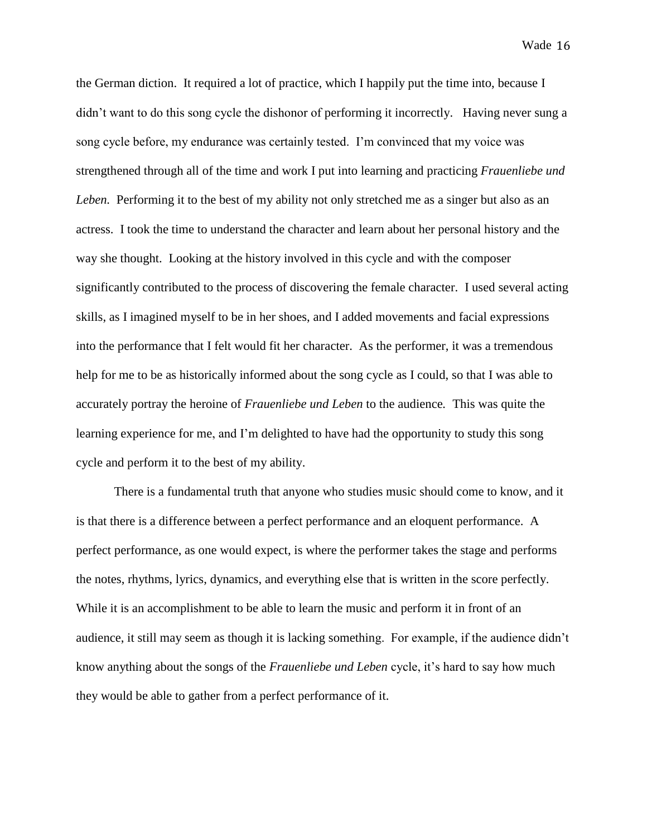the German diction. It required a lot of practice, which I happily put the time into, because I didn't want to do this song cycle the dishonor of performing it incorrectly. Having never sung a song cycle before, my endurance was certainly tested. I'm convinced that my voice was strengthened through all of the time and work I put into learning and practicing *Frauenliebe und Leben.* Performing it to the best of my ability not only stretched me as a singer but also as an actress. I took the time to understand the character and learn about her personal history and the way she thought. Looking at the history involved in this cycle and with the composer significantly contributed to the process of discovering the female character. I used several acting skills, as I imagined myself to be in her shoes, and I added movements and facial expressions into the performance that I felt would fit her character. As the performer, it was a tremendous help for me to be as historically informed about the song cycle as I could, so that I was able to accurately portray the heroine of *Frauenliebe und Leben* to the audience*.* This was quite the learning experience for me, and I'm delighted to have had the opportunity to study this song cycle and perform it to the best of my ability.

There is a fundamental truth that anyone who studies music should come to know, and it is that there is a difference between a perfect performance and an eloquent performance. A perfect performance, as one would expect, is where the performer takes the stage and performs the notes, rhythms, lyrics, dynamics, and everything else that is written in the score perfectly. While it is an accomplishment to be able to learn the music and perform it in front of an audience, it still may seem as though it is lacking something. For example, if the audience didn't know anything about the songs of the *Frauenliebe und Leben* cycle, it's hard to say how much they would be able to gather from a perfect performance of it.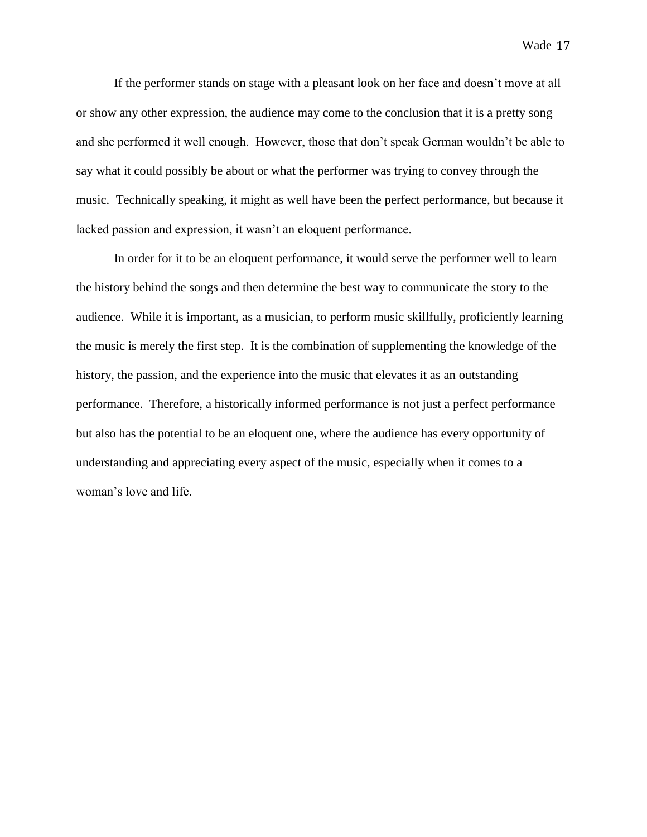If the performer stands on stage with a pleasant look on her face and doesn't move at all or show any other expression, the audience may come to the conclusion that it is a pretty song and she performed it well enough. However, those that don't speak German wouldn't be able to say what it could possibly be about or what the performer was trying to convey through the music. Technically speaking, it might as well have been the perfect performance, but because it lacked passion and expression, it wasn't an eloquent performance.

In order for it to be an eloquent performance, it would serve the performer well to learn the history behind the songs and then determine the best way to communicate the story to the audience. While it is important, as a musician, to perform music skillfully, proficiently learning the music is merely the first step. It is the combination of supplementing the knowledge of the history, the passion, and the experience into the music that elevates it as an outstanding performance. Therefore, a historically informed performance is not just a perfect performance but also has the potential to be an eloquent one, where the audience has every opportunity of understanding and appreciating every aspect of the music, especially when it comes to a woman's love and life.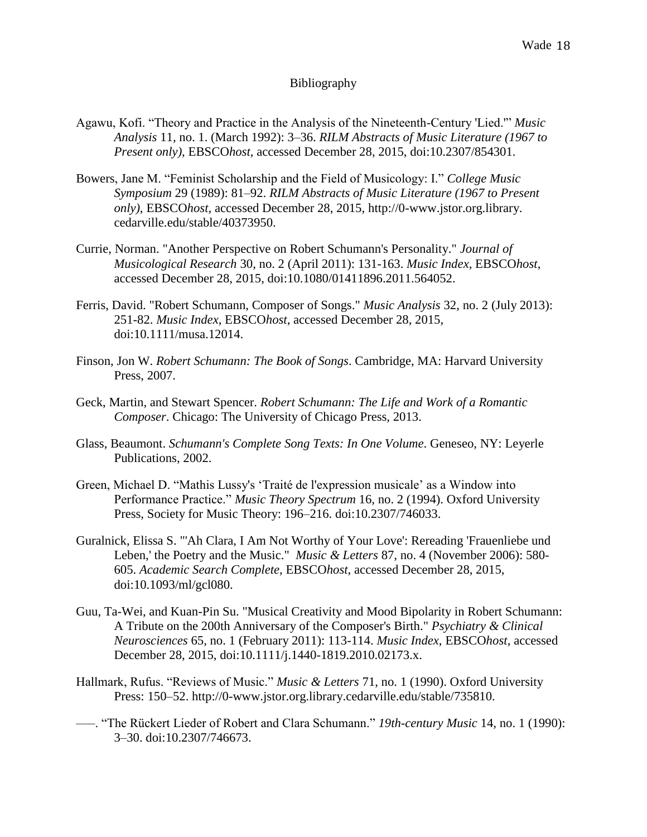## Bibliography

- Agawu, Kofi. "Theory and Practice in the Analysis of the Nineteenth-Century 'Lied.'" *Music Analysis* 11, no. 1. (March 1992): 3–36. *RILM Abstracts of Music Literature (1967 to Present only)*, EBSCO*host*, accessed December 28, 2015, doi:10.2307/854301.
- Bowers, Jane M. "Feminist Scholarship and the Field of Musicology: I." *College Music Symposium* 29 (1989): 81–92. *RILM Abstracts of Music Literature (1967 to Present only)*, EBSCO*host*, accessed December 28, 2015, http://0-www.jstor.org.library. cedarville.edu/stable/40373950.
- Currie, Norman. "Another Perspective on Robert Schumann's Personality." *Journal of Musicological Research* 30, no. 2 (April 2011): 131-163. *Music Index*, EBSCO*host*, accessed December 28, 2015, doi:10.1080/01411896.2011.564052.
- Ferris, David. "Robert Schumann, Composer of Songs." *Music Analysis* 32, no. 2 (July 2013): 251-82. *Music Index*, EBSCO*host*, accessed December 28, 2015, doi:10.1111/musa.12014.
- Finson, Jon W. *Robert Schumann: The Book of Songs*. Cambridge, MA: Harvard University Press, 2007.
- Geck, Martin, and Stewart Spencer. *Robert Schumann: The Life and Work of a Romantic Composer*. Chicago: The University of Chicago Press, 2013.
- Glass, Beaumont. *Schumann's Complete Song Texts: In One Volume*. Geneseo, NY: Leyerle Publications, 2002.
- Green, Michael D. "Mathis Lussy's 'Traité de l'expression musicale' as a Window into Performance Practice." *Music Theory Spectrum* 16, no. 2 (1994). Oxford University Press, Society for Music Theory: 196–216. doi:10.2307/746033.
- Guralnick, Elissa S. "'Ah Clara, I Am Not Worthy of Your Love': Rereading 'Frauenliebe und Leben,' the Poetry and the Music." *Music & Letters* 87, no. 4 (November 2006): 580- 605. *Academic Search Complete*, EBSCO*host*, accessed December 28, 2015, doi:10.1093/ml/gcl080.
- Guu, Ta-Wei, and Kuan-Pin Su. "Musical Creativity and Mood Bipolarity in Robert Schumann: A Tribute on the 200th Anniversary of the Composer's Birth." *Psychiatry & Clinical Neurosciences* 65, no. 1 (February 2011): 113-114. *Music Index*, EBSCO*host*, accessed December 28, 2015, doi:10.1111/j.1440-1819.2010.02173.x.
- Hallmark, Rufus. "Reviews of Music." *Music & Letters* 71, no. 1 (1990). Oxford University Press: 150–52. http://0-www.jstor.org.library.cedarville.edu/stable/735810.
- –––. "The Rückert Lieder of Robert and Clara Schumann." *19th-century Music* 14, no. 1 (1990): 3–30. doi:10.2307/746673.